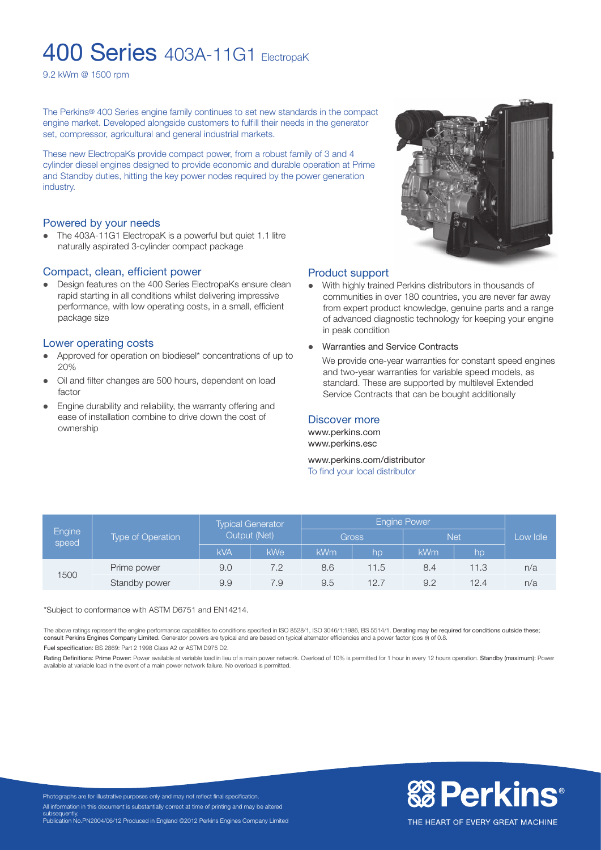# **400 Series** 403A-11G1 ElectropaK

9.2 kWm @ 1500 rpm

The Perkins® 400 Series engine family continues to set new standards in the compact engine market. Developed alongside customers to fulfill their needs in the generator set, compressor, agricultural and general industrial markets.

These new ElectropaKs provide compact power, from a robust family of 3 and 4 cylinder diesel engines designed to provide economic and durable operation at Prime and Standby duties, hitting the key power nodes required by the power generation industry.

#### Powered by your needs

• The 403A-11G1 ElectropaK is a powerful but quiet 1.1 litre naturally aspirated 3-cylinder compact package

#### Compact, clean, efficient power

• Design features on the 400 Series ElectropaKs ensure clean rapid starting in all conditions whilst delivering impressive performance, with low operating costs, in a small, efficient package size

#### Lower operating costs

- Approved for operation on biodiesel\* concentrations of up to 20%
- Oil and filter changes are 500 hours, dependent on load factor
- Engine durability and reliability, the warranty offering and ease of installation combine to drive down the cost of ownership



#### Product support

- With highly trained Perkins distributors in thousands of communities in over 180 countries, you are never far away from expert product knowledge, genuine parts and a range of advanced diagnostic technology for keeping your engine in peak condition
- **•** Warranties and Service Contracts

We provide one-year warranties for constant speed engines and two-year warranties for variable speed models, as standard. These are supported by multilevel Extended Service Contracts that can be bought additionally

#### Discover more

www.perkins.com www.perkins.esc

www.perkins.com/distributor To find your local distributor

| Engine<br>speed | <b>Type of Operation</b> | <b>Typical Generator</b><br>Output (Net) |     | <b>Engine Power</b> |      |            |      |          |
|-----------------|--------------------------|------------------------------------------|-----|---------------------|------|------------|------|----------|
|                 |                          |                                          |     | Gross               |      | <b>Net</b> |      | Low Idle |
|                 |                          | <b>kVA</b>                               | kWe | <b>kWm</b>          | lhp  | <b>kWm</b> | hp   |          |
| 1500            | Prime power              | 9.0                                      | 7.2 | 8.6                 | 11.5 | 8.4        | 11.3 | n/a      |
|                 | Standby power            | 9.9                                      | 7.9 | 9.5                 | 12.7 | 9.2        | 12.4 | n/a      |

\*Subject to conformance with ASTM D6751 and EN14214.

The above ratings represent the engine performance capabilities to conditions specified in ISO 8528/1, ISO 3046/1:1986, BS 5514/1. Derating may be required for conditions outside these;<br>consult Perkins Engines Company Limi Fuel specification: BS 2869: Part 2 1998 Class A2 or ASTM D975 D2.

Rating Definitions: Prime Power: Power available at variable load in lieu of a main power network. Overload of 10% is permitted for 1 hour in every 12 hours operation. Standby (maximum): Power ble at variable load in the event of a main power network failure. No overload is permitted.



Photographs are for illustrative purposes only and may not reflect final specification. All information in this document is substantially correct at time of printing and may be altered subsequently. Publication No.PN2004/06/12 Produced in England ©2012 Perkins Engines Company Limited

THE HEART OF EVERY GREAT MACHINE